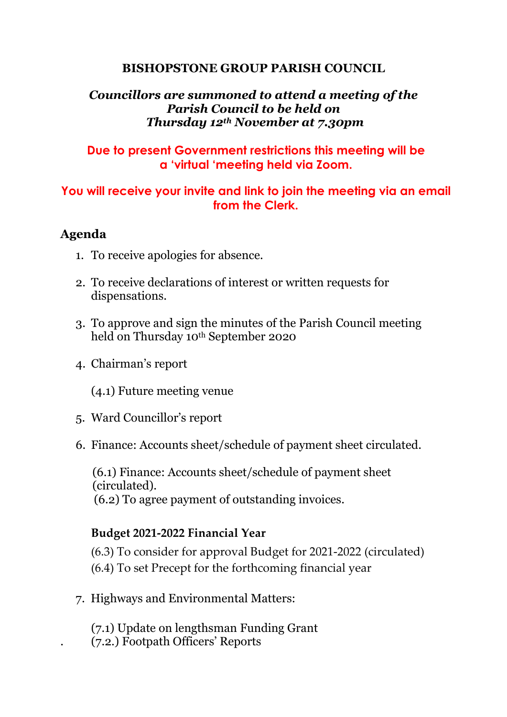#### **BISHOPSTONE GROUP PARISH COUNCIL**

## *Councillors are summoned to attend a meeting of the Parish Council to be held on Thursday 12th November at 7.30pm*

## **Due to present Government restrictions this meeting will be a 'virtual 'meeting held via Zoom.**

# **You will receive your invite and link to join the meeting via an email from the Clerk.**

## **Agenda**

- 1. To receive apologies for absence.
- 2. To receive declarations of interest or written requests for dispensations.
- 3. To approve and sign the minutes of the Parish Council meeting held on Thursday 10th September 2020
- 4. Chairman's report

(4.1) Future meeting venue

- 5. Ward Councillor's report
- 6. Finance: Accounts sheet/schedule of payment sheet circulated.

(6.1) Finance: Accounts sheet/schedule of payment sheet (circulated). (6.2) To agree payment of outstanding invoices.

# **Budget 2021-2022 Financial Year**

(6.3) To consider for approval Budget for 2021-2022 (circulated) (6.4) To set Precept for the forthcoming financial year

7. Highways and Environmental Matters:

(7.1) Update on lengthsman Funding Grant . (7.2.) Footpath Officers' Reports